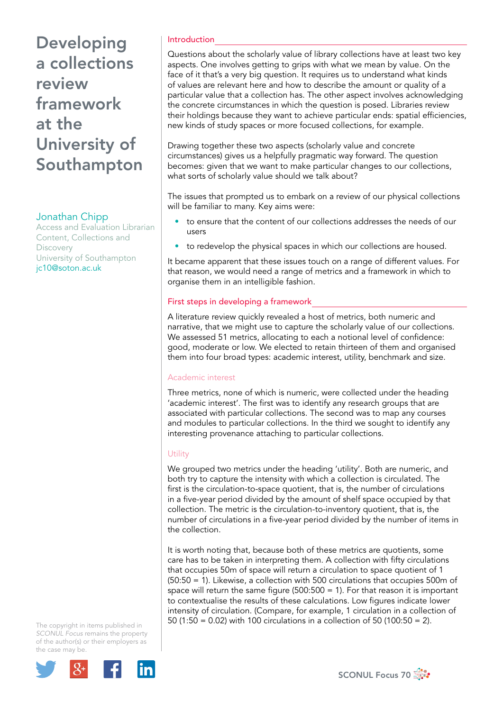# Developing a collections review framework at the University of Southampton

## Jonathan Chipp

Access and Evaluation Librarian Content, Collections and **Discovery** University of Southampton jc10@soton.ac.uk

## Introduction

Questions about the scholarly value of library collections have at least two key aspects. One involves getting to grips with what we mean by value. On the face of it that's a very big question. It requires us to understand what kinds of values are relevant here and how to describe the amount or quality of a particular value that a collection has. The other aspect involves acknowledging the concrete circumstances in which the question is posed. Libraries review their holdings because they want to achieve particular ends: spatial efficiencies, new kinds of study spaces or more focused collections, for example.

Drawing together these two aspects (scholarly value and concrete circumstances) gives us a helpfully pragmatic way forward. The question becomes: given that we want to make particular changes to our collections, what sorts of scholarly value should we talk about?

The issues that prompted us to embark on a review of our physical collections will be familiar to many. Key aims were:

- to ensure that the content of our collections addresses the needs of our users
- to redevelop the physical spaces in which our collections are housed.

It became apparent that these issues touch on a range of different values. For that reason, we would need a range of metrics and a framework in which to organise them in an intelligible fashion.

#### First steps in developing a framework

A literature review quickly revealed a host of metrics, both numeric and narrative, that we might use to capture the scholarly value of our collections. We assessed 51 metrics, allocating to each a notional level of confidence: good, moderate or low. We elected to retain thirteen of them and organised them into four broad types: academic interest, utility, benchmark and size.

#### Academic interest

Three metrics, none of which is numeric, were collected under the heading 'academic interest'. The first was to identify any research groups that are associated with particular collections. The second was to map any courses and modules to particular collections. In the third we sought to identify any interesting provenance attaching to particular collections.

#### **Utility**

We grouped two metrics under the heading 'utility'. Both are numeric, and both try to capture the intensity with which a collection is circulated. The first is the circulation-to-space quotient, that is, the number of circulations in a five-year period divided by the amount of shelf space occupied by that collection. The metric is the circulation-to-inventory quotient, that is, the number of circulations in a five-year period divided by the number of items in the collection.

It is worth noting that, because both of these metrics are quotients, some care has to be taken in interpreting them. A collection with fifty circulations that occupies 50m of space will return a circulation to space quotient of 1 (50:50 = 1). Likewise, a collection with 500 circulations that occupies 500m of space will return the same figure (500:500 = 1). For that reason it is important to contextualise the results of these calculations. Low figures indicate lower intensity of circulation. (Compare, for example, 1 circulation in a collection of 50 (1:50 = 0.02) with 100 circulations in a collection of 50 (100:50 = 2).

The copyright in items published in *SCONUL Focus* remains the property of the author(s) or their employers as the case may be.



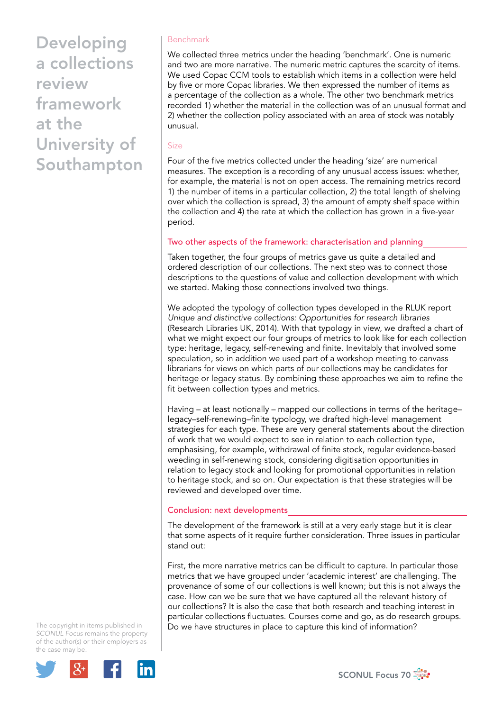Developing a collections review framework at the University of Southampton

### Benchmark

We collected three metrics under the heading 'benchmark'. One is numeric and two are more narrative. The numeric metric captures the scarcity of items. We used Copac CCM tools to establish which items in a collection were held by five or more Copac libraries. We then expressed the number of items as a percentage of the collection as a whole. The other two benchmark metrics recorded 1) whether the material in the collection was of an unusual format and 2) whether the collection policy associated with an area of stock was notably unusual.

#### Size

Four of the five metrics collected under the heading 'size' are numerical measures. The exception is a recording of any unusual access issues: whether, for example, the material is not on open access. The remaining metrics record 1) the number of items in a particular collection, 2) the total length of shelving over which the collection is spread, 3) the amount of empty shelf space within the collection and 4) the rate at which the collection has grown in a five-year period.

## Two other aspects of the framework: characterisation and planning

Taken together, the four groups of metrics gave us quite a detailed and ordered description of our collections. The next step was to connect those descriptions to the questions of value and collection development with which we started. Making those connections involved two things.

We adopted the typology of collection types developed in the RLUK report *Unique and distinctive collections: Opportunities for research libraries* (Research Libraries UK, 2014). With that typology in view, we drafted a chart of what we might expect our four groups of metrics to look like for each collection type: heritage, legacy, self-renewing and finite. Inevitably that involved some speculation, so in addition we used part of a workshop meeting to canvass librarians for views on which parts of our collections may be candidates for heritage or legacy status. By combining these approaches we aim to refine the fit between collection types and metrics.

Having – at least notionally – mapped our collections in terms of the heritage– legacy–self-renewing–finite typology, we drafted high-level management strategies for each type. These are very general statements about the direction of work that we would expect to see in relation to each collection type, emphasising, for example, withdrawal of finite stock, regular evidence-based weeding in self-renewing stock, considering digitisation opportunities in relation to legacy stock and looking for promotional opportunities in relation to heritage stock, and so on. Our expectation is that these strategies will be reviewed and developed over time.

## Conclusion: next developments

The development of the framework is still at a very early stage but it is clear that some aspects of it require further consideration. Three issues in particular stand out:

First, the more narrative metrics can be difficult to capture. In particular those metrics that we have grouped under 'academic interest' are challenging. The provenance of some of our collections is well known; but this is not always the case. How can we be sure that we have captured all the relevant history of our collections? It is also the case that both research and teaching interest in particular collections fluctuates. Courses come and go, as do research groups. Do we have structures in place to capture this kind of information?

The copyright in items published in *SCONUL Focus* remains the property of the author(s) or their employers as the case may be.